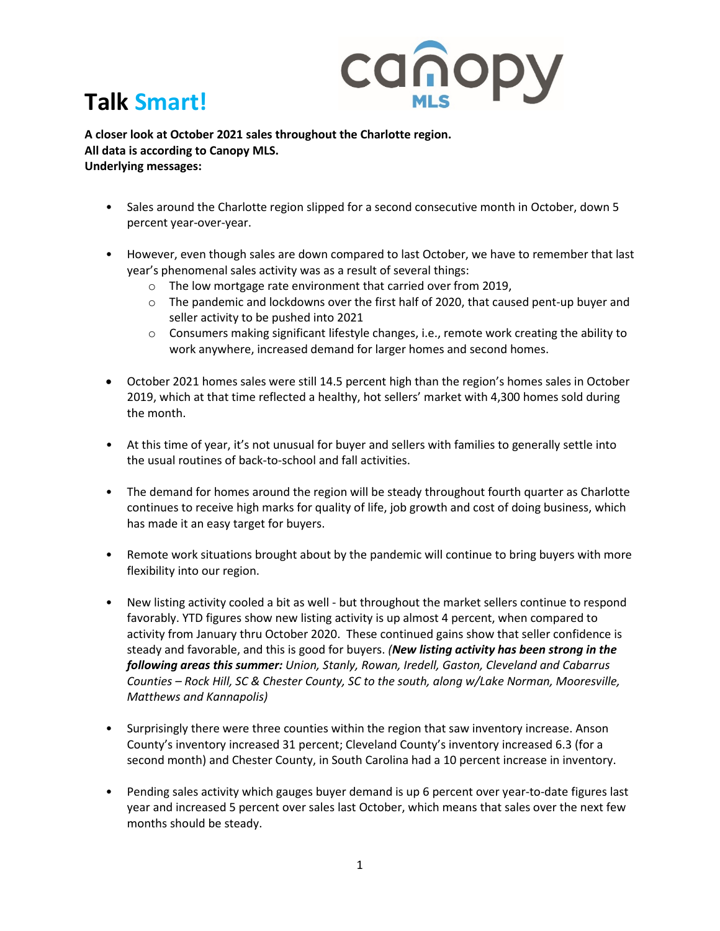

## **Talk Smart!**

**A closer look at October 2021 sales throughout the Charlotte region. All data is according to Canopy MLS. Underlying messages:** 

- Sales around the Charlotte region slipped for a second consecutive month in October, down 5 percent year-over-year.
- However, even though sales are down compared to last October, we have to remember that last year's phenomenal sales activity was as a result of several things:
	- o The low mortgage rate environment that carried over from 2019,
	- $\circ$  The pandemic and lockdowns over the first half of 2020, that caused pent-up buyer and seller activity to be pushed into 2021
	- $\circ$  Consumers making significant lifestyle changes, i.e., remote work creating the ability to work anywhere, increased demand for larger homes and second homes.
- October 2021 homes sales were still 14.5 percent high than the region's homes sales in October 2019, which at that time reflected a healthy, hot sellers' market with 4,300 homes sold during the month.
- At this time of year, it's not unusual for buyer and sellers with families to generally settle into the usual routines of back-to-school and fall activities.
- The demand for homes around the region will be steady throughout fourth quarter as Charlotte continues to receive high marks for quality of life, job growth and cost of doing business, which has made it an easy target for buyers.
- Remote work situations brought about by the pandemic will continue to bring buyers with more flexibility into our region.
- New listing activity cooled a bit as well but throughout the market sellers continue to respond favorably. YTD figures show new listing activity is up almost 4 percent, when compared to activity from January thru October 2020. These continued gains show that seller confidence is steady and favorable, and this is good for buyers. *(New listing activity has been strong in the following areas this summer: Union, Stanly, Rowan, Iredell, Gaston, Cleveland and Cabarrus Counties – Rock Hill, SC & Chester County, SC to the south, along w/Lake Norman, Mooresville, Matthews and Kannapolis)*
- Surprisingly there were three counties within the region that saw inventory increase. Anson County's inventory increased 31 percent; Cleveland County's inventory increased 6.3 (for a second month) and Chester County, in South Carolina had a 10 percent increase in inventory.
- Pending sales activity which gauges buyer demand is up 6 percent over year-to-date figures last year and increased 5 percent over sales last October, which means that sales over the next few months should be steady.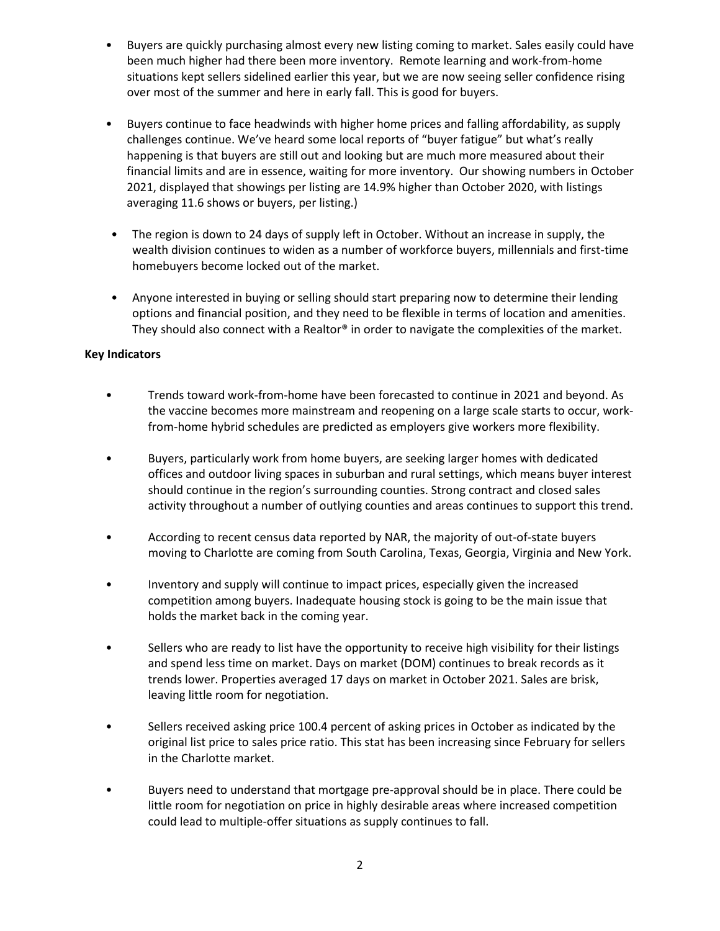- Buyers are quickly purchasing almost every new listing coming to market. Sales easily could have been much higher had there been more inventory. Remote learning and work-from-home situations kept sellers sidelined earlier this year, but we are now seeing seller confidence rising over most of the summer and here in early fall. This is good for buyers.
- Buyers continue to face headwinds with higher home prices and falling affordability, as supply challenges continue. We've heard some local reports of "buyer fatigue" but what's really happening is that buyers are still out and looking but are much more measured about their financial limits and are in essence, waiting for more inventory. Our showing numbers in October 2021, displayed that showings per listing are 14.9% higher than October 2020, with listings averaging 11.6 shows or buyers, per listing.)
- The region is down to 24 days of supply left in October. Without an increase in supply, the wealth division continues to widen as a number of workforce buyers, millennials and first-time homebuyers become locked out of the market.
- Anyone interested in buying or selling should start preparing now to determine their lending options and financial position, and they need to be flexible in terms of location and amenities. They should also connect with a Realtor® in order to navigate the complexities of the market.

## **Key Indicators**

- Trends toward work-from-home have been forecasted to continue in 2021 and beyond. As the vaccine becomes more mainstream and reopening on a large scale starts to occur, workfrom-home hybrid schedules are predicted as employers give workers more flexibility.
- Buyers, particularly work from home buyers, are seeking larger homes with dedicated offices and outdoor living spaces in suburban and rural settings, which means buyer interest should continue in the region's surrounding counties. Strong contract and closed sales activity throughout a number of outlying counties and areas continues to support this trend.
- According to recent census data reported by NAR, the majority of out-of-state buyers moving to Charlotte are coming from South Carolina, Texas, Georgia, Virginia and New York.
- Inventory and supply will continue to impact prices, especially given the increased competition among buyers. Inadequate housing stock is going to be the main issue that holds the market back in the coming year.
- Sellers who are ready to list have the opportunity to receive high visibility for their listings and spend less time on market. Days on market (DOM) continues to break records as it trends lower. Properties averaged 17 days on market in October 2021. Sales are brisk, leaving little room for negotiation.
- Sellers received asking price 100.4 percent of asking prices in October as indicated by the original list price to sales price ratio. This stat has been increasing since February for sellers in the Charlotte market.
- Buyers need to understand that mortgage pre-approval should be in place. There could be little room for negotiation on price in highly desirable areas where increased competition could lead to multiple-offer situations as supply continues to fall.